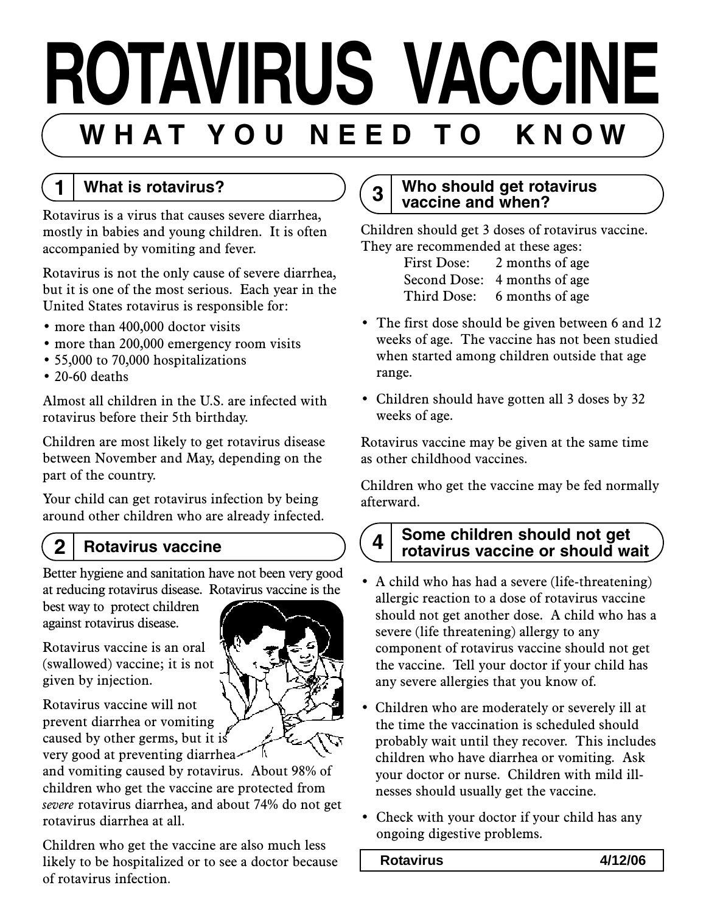# **ROTAVIRUS VACCINE** WHAT YOU NEED TO KNOW

# **1 What is rotavirus?**

Rotavirus is a virus that causes severe diarrhea, mostly in babies and young children. It is often accompanied by vomiting and fever.

Rotavirus is not the only cause of severe diarrhea, but it is one of the most serious. Each year in the United States rotavirus is responsible for:

- more than 400,000 doctor visits
- more than 200,000 emergency room visits
- 55,000 to 70,000 hospitalizations
- 20-60 deaths

Almost all children in the U.S. are infected with rotavirus before their 5th birthday.

Children are most likely to get rotavirus disease between November and May, depending on the part of the country.

Your child can get rotavirus infection by being around other children who are already infected.

# **2 Rotavirus vaccine**

Better hygiene and sanitation have not been very good at reducing rotavirus disease. Rotavirus vaccine is the

best way to protect children against rotavirus disease.

Rotavirus vaccine is an oral (swallowed) vaccine; it is not given by injection.

Rotavirus vaccine will not prevent diarrhea or vomiting caused by other germs, but it is very good at preventing diarrhea

and vomiting caused by rotavirus. About 98% of children who get the vaccine are protected from *severe* rotavirus diarrhea, and about 74% do not get rotavirus diarrhea at all.

Children who get the vaccine are also much less likely to be hospitalized or to see a doctor because of rotavirus infection.

# **3 Who should get rotavirus vaccine and when?**

Children should get 3 doses of rotavirus vaccine. They are recommended at these ages:

| <b>First Dose:</b> | 2 months of age              |
|--------------------|------------------------------|
|                    | Second Dose: 4 months of age |
|                    | Third Dose: 6 months of age  |

- The first dose should be given between 6 and 12 weeks of age. The vaccine has not been studied when started among children outside that age range.
- Children should have gotten all 3 doses by 32 weeks of age.

Rotavirus vaccine may be given at the same time as other childhood vaccines.

Children who get the vaccine may be fed normally afterward.

# **4 Some children should not get rotavirus vaccine or should wait**

- A child who has had a severe (life-threatening) allergic reaction to a dose of rotavirus vaccine should not get another dose. A child who has a severe (life threatening) allergy to any component of rotavirus vaccine should not get the vaccine. Tell your doctor if your child has any severe allergies that you know of.
- Children who are moderately or severely ill at the time the vaccination is scheduled should probably wait until they recover. This includes children who have diarrhea or vomiting. Ask your doctor or nurse. Children with mild illnesses should usually get the vaccine.
- Check with your doctor if your child has any ongoing digestive problems.

### **Rotavirus 4/12/06**